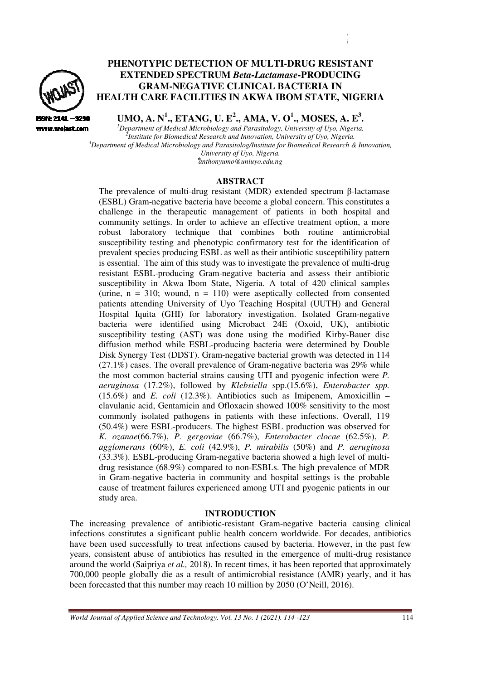

ISSN: 2141 -3294 www.wojast.com

# **PHENOTYPIC DETECTION O OF MULTI-DRUG RESISTANT ENOTYPIC DETECTION OF MULTI-DRUG RESISTAN<br>EXTENDED SPECTRUM** *Beta-Lactamase* **•PRODUCING GRAM-NEGATIVE CLINICAL BACTERIA IN HEALTH CARE FACILITIES IN AKWA IBOM STATE, NIGERIA**

**UMO, A. N<sup>1</sup> ., ETANG, U. E 2 ., AMA, V. O<sup>1</sup> ., MOSES, A. E 3 .** 

*<sup>1</sup>Department of Medica Medical Microbiology and Parasitology, University of Uyo, Nigeria. 2 Institute for Biomedical Research and Innovation, University of Uyo, Nigeria.* <sup>3</sup>*Department of Medical Microbiology and Parasitolog/Institute for Biomedical Research at aparasitolog/Institute for Biomedical Research & Innovation, <sup>3</sup><br>Pepartment of Medical Microbiology and Parasitolog/Institute for University of Uyo, Nigeria. ⃰anthonyumo@uniuyo.edu.ng* 

### **ABSTRACT**

The prevalence of multi-drug resistant (MDR) extended spectrum  $\beta$ -lactamase (ESBL) Gram-negative bacteria have become a global concern. This constitutes a (ESBL) Gram-negative bacteria have become a global concern. This constitutes a challenge in the therapeutic management of patients in both hospital and community settings. In order to achieve an effective treatment option, a more robust laboratory technique that combines both routine antimicrobial susceptibility testing and phenotypic confirmatory test for the identification of prevalent species producing ESBL as well as their antibiotic susceptibility pattern prevalent species producing ESBL as well as their antibiotic susceptibility p<br>is essential. The aim of this study was to investigate the prevalence of multi resistant ESBL-producing Gram-negative bacteria and assess their antibiotic susceptibility in Akwa Ibom State, Nigeria. A total of 420 clinical samples resistant ESBL-producing Gram-negative bacteria and assess their antibiotic susceptibility in Akwa Ibom State, Nigeria. A total of 420 clinical samples (urine, n = 310; wound, n = 110) were aseptically collected from conse patients attending University of Uyo Teaching Hospital (UUTH) and General Hospital Iquita (GH (GHI) for laboratory investigation. Isolated Gram Gram-negative bacteria were identified using Microbact 24E (Oxoid, UK), antibiotic susceptibility testing (AST) was done using the modified Kirby-Bauer disc diffusion method while ESBL ESBL-producing bacteria were determined by Double diffusion method while ESBL-producing bacteria were determined by Double<br>Disk Synergy Test (DDST). Gram-negative bacterial growth was detected in 114  $(27.1\%)$  cases. The overall prevalence of Gram-negative bacteria was 29% while the most common bacterial strains causing UTI and pyogenic infection were *P. aeruginosa* (17.2%), followed by *Klebsiella* spp.(15.6%), *Enterobacter spp.* (15.6%) and *E. coli* (12.3%). Antibiotics such as Imipenem, Amoxicillin – clavulanic acid, Gentamicin and Ofloxacin showed 100% sensitivity to the most commonly isolated pathogens in patients with these infections. Overall, 119 (50.4%) were ESBL-producers. The highest ESBL production was observed for *K. ozanae*(66.7%), *P. gergoviae* (66.7%), *Enterobacter clocae* (62.5%), *P. agglomerans* (60%), *E. coli* (42.9%), *P. mirabilis* (50%) and *P. aeruginosa*  (33.3%). ESBL-producing Gram-negative bacteria showed a high level of multidrug resistance (68.9%) compared to non-ESBLs. The high prevalence of MDR in Gram-negative bacteria in community and hospital settings is the probable cause of treatment failures experienced among UTI and pyogenic patients in our study area. n both hospital and<br>tment option, a more<br>outine antimicrobial<br>r the identification of<br>exaceptibility pattern<br>evalence of multi-drug

### **INTRODUCTION**

The increasing prevalence of antibiotic-resistant Gram-negative bacteria causing clinical infections constitutes a significant public health concern worldwide. For decades, antibiotics have been used successfully to treat infections caused by bacteria. However, years, consistent abuse of antibiotics has resulted in the emergence of multi-drug resistance around the world (Saipriya et al., 2018). In recent times, it has been reported that approximately 700,000 people globally die as a result of antimicrobial resistance (AMR) yearly, and it has been forecasted that this number may reach 10 million by 2050 (O'Neill, 2016). I and pyogenic patients in our<br>negative bacteria causing clinical<br>worldwide. For decades, antibiotics<br>bacteria. However, in the past few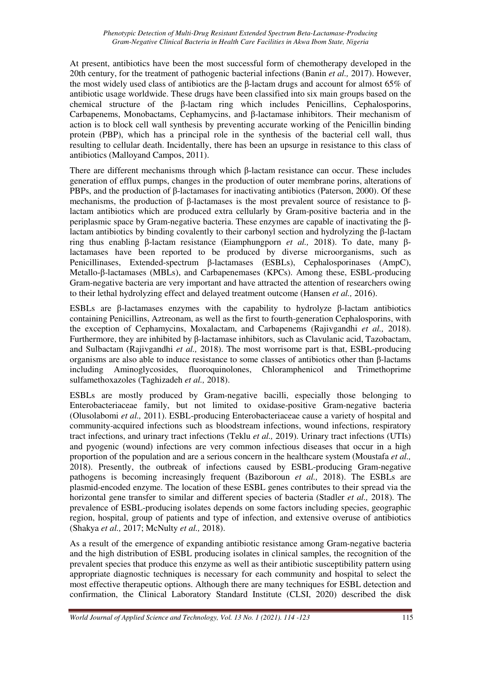At present, antibiotics have been the most successful form of chemotherapy developed in the 20th century, for the treatment of pathogenic bacterial infections (Banin *et al.,* 2017). However, the most widely used class of antibiotics are the β-lactam drugs and account for almost 65% of antibiotic usage worldwide. These drugs have been classified into six main groups based on the chemical structure of the β-lactam ring which includes Penicillins, Cephalosporins, Carbapenems, Monobactams, Cephamycins, and β-lactamase inhibitors. Their mechanism of action is to block cell wall synthesis by preventing accurate working of the Penicillin binding protein (PBP), which has a principal role in the synthesis of the bacterial cell wall, thus resulting to cellular death. Incidentally, there has been an upsurge in resistance to this class of antibiotics (Malloyand Campos, 2011).

There are different mechanisms through which β-lactam resistance can occur. These includes generation of efflux pumps, changes in the production of outer membrane porins, alterations of PBPs, and the production of β-lactamases for inactivating antibiotics (Paterson, 2000). Of these mechanisms, the production of β-lactamases is the most prevalent source of resistance to βlactam antibiotics which are produced extra cellularly by Gram-positive bacteria and in the periplasmic space by Gram-negative bacteria. These enzymes are capable of inactivating the βlactam antibiotics by binding covalently to their carbonyl section and hydrolyzing the β-lactam ring thus enabling β-lactam resistance (Eiamphungporn *et al.,* 2018). To date, many βlactamases have been reported to be produced by diverse microorganisms, such as Penicillinases, Extended-spectrum β-lactamases (ESBLs), Cephalosporinases (AmpC), Metallo-β-lactamases (MBLs), and Carbapenemases (KPCs). Among these, ESBL-producing Gram-negative bacteria are very important and have attracted the attention of researchers owing to their lethal hydrolyzing effect and delayed treatment outcome (Hansen *et al.,* 2016).

ESBLs are β-lactamases enzymes with the capability to hydrolyze β-lactam antibiotics containing Penicillins, Aztreonam, as well as the first to fourth-generation Cephalosporins, with the exception of Cephamycins, Moxalactam, and Carbapenems (Rajivgandhi *et al.,* 2018). Furthermore, they are inhibited by β-lactamase inhibitors, such as Clavulanic acid, Tazobactam, and Sulbactam (Rajivgandhi *et al.,* 2018). The most worrisome part is that, ESBL-producing organisms are also able to induce resistance to some classes of antibiotics other than β-lactams including Aminoglycosides, fluoroquinolones, Chloramphenicol and Trimethoprime sulfamethoxazoles (Taghizadeh *et al.,* 2018).

ESBLs are mostly produced by Gram-negative bacilli, especially those belonging to Enterobacteriaceae family, but not limited to oxidase-positive Gram-negative bacteria (Olusolabomi *et al.,* 2011). ESBL-producing Enterobacteriaceae cause a variety of hospital and community-acquired infections such as bloodstream infections, wound infections, respiratory tract infections, and urinary tract infections (Teklu *et al.,* 2019). Urinary tract infections (UTIs) and pyogenic (wound) infections are very common infectious diseases that occur in a high proportion of the population and are a serious concern in the healthcare system (Moustafa *et al.,* 2018). Presently, the outbreak of infections caused by ESBL-producing Gram-negative pathogens is becoming increasingly frequent (Baziboroun *et al.,* 2018). The ESBLs are plasmid-encoded enzyme. The location of these ESBL genes contributes to their spread via the horizontal gene transfer to similar and different species of bacteria (Stadler *et al.,* 2018). The prevalence of ESBL-producing isolates depends on some factors including species, geographic region, hospital, group of patients and type of infection, and extensive overuse of antibiotics (Shakya *et al.,* 2017; McNulty *et al.,* 2018).

As a result of the emergence of expanding antibiotic resistance among Gram-negative bacteria and the high distribution of ESBL producing isolates in clinical samples, the recognition of the prevalent species that produce this enzyme as well as their antibiotic susceptibility pattern using appropriate diagnostic techniques is necessary for each community and hospital to select the most effective therapeutic options. Although there are many techniques for ESBL detection and confirmation, the Clinical Laboratory Standard Institute (CLSI, 2020) described the disk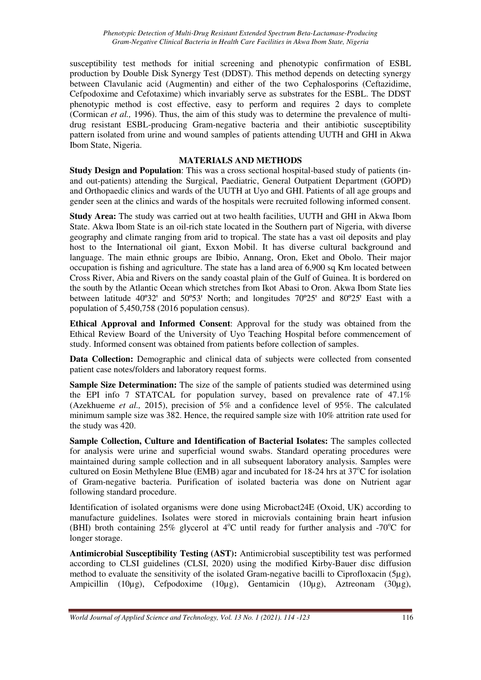susceptibility test methods for initial screening and phenotypic confirmation of ESBL production by Double Disk Synergy Test (DDST). This method depends on detecting synergy between Clavulanic acid (Augmentin) and either of the two Cephalosporins (Ceftazidime, Cefpodoxime and Cefotaxime) which invariably serve as substrates for the ESBL. The DDST phenotypic method is cost effective, easy to perform and requires 2 days to complete (Cormican *et al.,* 1996). Thus, the aim of this study was to determine the prevalence of multidrug resistant ESBL-producing Gram-negative bacteria and their antibiotic susceptibility pattern isolated from urine and wound samples of patients attending UUTH and GHI in Akwa Ibom State, Nigeria.

## **MATERIALS AND METHODS**

**Study Design and Population**: This was a cross sectional hospital-based study of patients (inand out-patients) attending the Surgical, Paediatric, General Outpatient Department (GOPD) and Orthopaedic clinics and wards of the UUTH at Uyo and GHI. Patients of all age groups and gender seen at the clinics and wards of the hospitals were recruited following informed consent.

**Study Area:** The study was carried out at two health facilities, UUTH and GHI in Akwa Ibom State. Akwa Ibom State is an oil-rich state located in the Southern part of Nigeria, with diverse geography and climate ranging from arid to tropical. The state has a vast oil deposits and play host to the International oil giant, Exxon Mobil. It has diverse cultural background and language. The main ethnic groups are Ibibio, Annang, Oron, Eket and Obolo. Their major occupation is fishing and agriculture. The state has a land area of 6,900 sq Km located between Cross River, Abia and Rivers on the sandy coastal plain of the Gulf of Guinea. It is bordered on the south by the Atlantic Ocean which stretches from Ikot Abasi to Oron. Akwa Ibom State lies between latitude  $40^{\circ}32'$  and  $50^{\circ}53'$  North; and longitudes  $70^{\circ}25'$  and  $80^{\circ}25'$  East with a population of 5,450,758 (2016 population census).

**Ethical Approval and Informed Consent**: Approval for the study was obtained from the Ethical Review Board of the University of Uyo Teaching Hospital before commencement of study. Informed consent was obtained from patients before collection of samples.

**Data Collection:** Demographic and clinical data of subjects were collected from consented patient case notes/folders and laboratory request forms.

**Sample Size Determination:** The size of the sample of patients studied was determined using the EPI info 7 STATCAL for population survey, based on prevalence rate of 47.1% (Azekhueme *et al.,* 2015), precision of 5% and a confidence level of 95%. The calculated minimum sample size was 382. Hence, the required sample size with 10% attrition rate used for the study was 420.

**Sample Collection, Culture and Identification of Bacterial Isolates:** The samples collected for analysis were urine and superficial wound swabs. Standard operating procedures were maintained during sample collection and in all subsequent laboratory analysis. Samples were cultured on Eosin Methylene Blue (EMB) agar and incubated for  $18-24$  hrs at  $37^{\circ}$ C for isolation of Gram-negative bacteria. Purification of isolated bacteria was done on Nutrient agar following standard procedure.

Identification of isolated organisms were done using Microbact24E (Oxoid, UK) according to manufacture guidelines. Isolates were stored in microvials containing brain heart infusion (BHI) broth containing 25% glycerol at  $4^{\circ}$ C until ready for further analysis and -70 $^{\circ}$ C for longer storage.

**Antimicrobial Susceptibility Testing (AST):** Antimicrobial susceptibility test was performed according to CLSI guidelines (CLSI, 2020) using the modified Kirby-Bauer disc diffusion method to evaluate the sensitivity of the isolated Gram-negative bacilli to Ciprofloxacin (5µg), Ampicillin (10µg), Cefpodoxime (10µg), Gentamicin (10µg), Aztreonam (30µg),

*World Journal of Applied Science and Technology, Vol. 13 No. 1 (2021). 114 -123* 116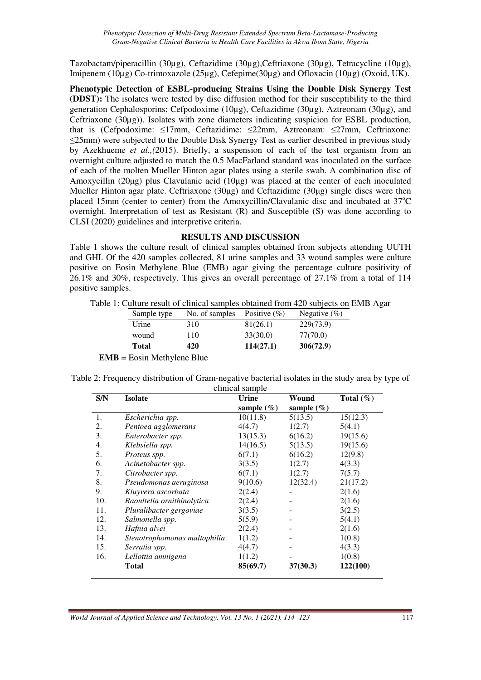Tazobactam/piperacillin (30µg), Ceftazidime (30µg),Ceftriaxone (30µg), Tetracycline (10µg), Imipenem (10µg) Co-trimoxazole (25µg), Cefepime(30µg) and Ofloxacin (10µg) (Oxoid, UK).

**Phenotypic Detection of ESBL-producing Strains Using the Double Disk Synergy Test (DDST):** The isolates were tested by disc diffusion method for their susceptibility to the third generation Cephalosporins: Cefpodoxime (10µg), Ceftazidime (30µg), Aztreonam (30µg), and Ceftriaxone (30µg)). Isolates with zone diameters indicating suspicion for ESBL production, that is (Cefpodoxime: ≤17mm, Ceftazidime: ≤22mm, Aztreonam: ≤27mm, Ceftriaxone: ≤25mm) were subjected to the Double Disk Synergy Test as earlier described in previous study by Azekhueme *et al.,(*2015). Briefly, a suspension of each of the test organism from an overnight culture adjusted to match the 0.5 MacFarland standard was inoculated on the surface of each of the molten Mueller Hinton agar plates using a sterile swab. A combination disc of Amoxycillin (20μg) plus Clavulanic acid (10μg) was placed at the center of each inoculated Mueller Hinton agar plate. Ceftriaxone (30μg) and Ceftazidime (30μg) single discs were then placed 15mm (center to center) from the Amoxycillin/Clavulanic disc and incubated at  $37^{\circ}$ C overnight. Interpretation of test as Resistant (R) and Susceptible (S) was done according to CLSI (2020) guidelines and interpretive criteria.

### **RESULTS AND DISCUSSION**

Table 1 shows the culture result of clinical samples obtained from subjects attending UUTH and GHI. Of the 420 samples collected, 81 urine samples and 33 wound samples were culture positive on Eosin Methylene Blue (EMB) agar giving the percentage culture positivity of 26.1% and 30%, respectively. This gives an overall percentage of 27.1% from a total of 114 positive samples.

|  |  |  |  | Table 1: Culture result of clinical samples obtained from 420 subjects on EMB Agar |  |  |  |  |
|--|--|--|--|------------------------------------------------------------------------------------|--|--|--|--|
|  |  |  |  |                                                                                    |  |  |  |  |

| Total       | 420            | 114(27.1)        | 306(72.9)       |
|-------------|----------------|------------------|-----------------|
| wound       | 110            | 33(30.0)         | 77(70.0)        |
| Urine       | 310            | 81(26.1)         | 229(73.9)       |
| Sample type | No. of samples | Positive $(\% )$ | Negative $(\%)$ |

**EMB** = Eosin Methylene Blue

| Table 2: Frequency distribution of Gram-negative bacterial isolates in the study area by type of |  |
|--------------------------------------------------------------------------------------------------|--|
| clinical sample                                                                                  |  |

| S/N | <b>Isolate</b>               | Urine          | Wound      | Total $(\% )$ |
|-----|------------------------------|----------------|------------|---------------|
|     |                              | sample $(\% )$ | sample (%) |               |
| 1.  | Escherichia spp.             | 10(11.8)       | 5(13.5)    | 15(12.3)      |
| 2.  | Pentoea agglomerans          | 4(4.7)         | 1(2.7)     | 5(4.1)        |
| 3.  | Enterobacter spp.            | 13(15.3)       | 6(16.2)    | 19(15.6)      |
| 4.  | Klebsiella spp.              | 14(16.5)       | 5(13.5)    | 19(15.6)      |
| 5.  | Proteus spp.                 | 6(7.1)         | 6(16.2)    | 12(9.8)       |
| 6.  | Acinetobacter spp.           | 3(3.5)         | 1(2.7)     | 4(3.3)        |
| 7.  | Citrobacter spp.             | 6(7.1)         | 1(2.7)     | 7(5.7)        |
| 8.  | Pseudomonas aeruginosa       | 9(10.6)        | 12(32.4)   | 21(17.2)      |
| 9.  | Kluyvera ascorbata           | 2(2.4)         |            | 2(1.6)        |
| 10. | Raoultella ornithinolytica   | 2(2.4)         |            | 2(1.6)        |
| 11. | Pluralibacter gergoviae      | 3(3.5)         |            | 3(2.5)        |
| 12. | Salmonella spp.              | 5(5.9)         |            | 5(4.1)        |
| 13. | Hafnia alvei                 | 2(2.4)         |            | 2(1.6)        |
| 14. | Stenotrophomonas maltophilia | 1(1.2)         |            | 1(0.8)        |
| 15. | Serratia spp.                | 4(4.7)         |            | 4(3.3)        |
| 16. | Lellottia amnigena           | 1(1.2)         |            | 1(0.8)        |
|     | Total                        | 85(69.7)       | 37(30.3)   | 122(100)      |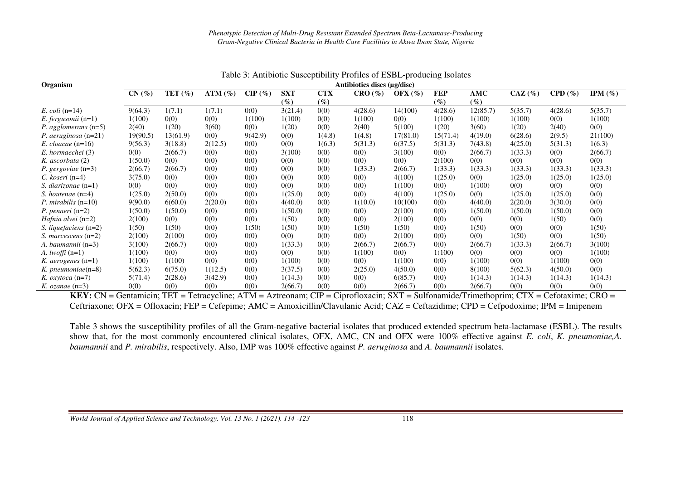|                                |                             |             |               |           |            |            |         | raone of rimmonte baseepinomy i formes of ESDE producing isolates |            |          |           |         |             |
|--------------------------------|-----------------------------|-------------|---------------|-----------|------------|------------|---------|-------------------------------------------------------------------|------------|----------|-----------|---------|-------------|
| Organism                       | Antibiotics discs (µg/disc) |             |               |           |            |            |         |                                                                   |            |          |           |         |             |
|                                | CN(%)                       | TET $(\% )$ | $ATM$ $(\% )$ | $CIP(\%)$ | <b>SXT</b> | <b>CTX</b> | CRO(%)  | OFX $(\%)$                                                        | <b>FEP</b> | AMC      | $CAZ(\%)$ | CPD(%)  | IPM $(\% )$ |
|                                |                             |             |               |           | $(\%)$     | $(\%)$     |         |                                                                   | $(\%)$     | $(\%)$   |           |         |             |
| E. coli $(n=14)$               | 9(64.3)                     | 1(7.1)      | 1(7.1)        | 0(0)      | 3(21.4)    | 0(0)       | 4(28.6) | 14(100)                                                           | 4(28.6)    | 12(85.7) | 5(35.7)   | 4(28.6) | 5(35.7)     |
| $E.$ fergusonii (n=1)          | 1(100)                      | 0(0)        | 0(0)          | 1(100)    | 1(100)     | 0(0)       | 1(100)  | 0(0)                                                              | 1(100)     | 1(100)   | 1(100)    | 0(0)    | 1(100)      |
| <i>P. agglomerans</i> $(n=5)$  | 2(40)                       | 1(20)       | 3(60)         | 0(0)      | 1(20)      | 0(0)       | 2(40)   | 5(100)                                                            | 1(20)      | 3(60)    | 1(20)     | 2(40)   | 0(0)        |
| <i>P. aeruginosa</i> $(n=21)$  | 19(90.5)                    | 13(61.9)    | 0(0)          | 9(42.9)   | 0(0)       | 1(4.8)     | 1(4.8)  | 17(81.0)                                                          | 15(71.4)   | 4(19.0)  | 6(28.6)   | 2(9.5)  | 21(100)     |
| E. cloacae $(n=16)$            | 9(56.3)                     | 3(18.8)     | 2(12.5)       | 0(0)      | 0(0)       | 1(6.3)     | 5(31.3) | 6(37.5)                                                           | 5(31.3)    | 7(43.8)  | 4(25.0)   | 5(31.3) | 1(6.3)      |
| E. hormaechei (3)              | 0(0)                        | 2(66.7)     | 0(0)          | 0(0)      | 3(100)     | 0(0)       | 0(0)    | 3(100)                                                            | 0(0)       | 2(66.7)  | 1(33.3)   | 0(0)    | 2(66.7)     |
| K. ascorbata (2)               | 1(50.0)                     | 0(0)        | 0(0)          | 0(0)      | 0(0)       | 0(0)       | 0(0)    | 0(0)                                                              | 2(100)     | 0(0)     | 0(0)      | 0(0)    | 0(0)        |
| <i>P.</i> gergoviae $(n=3)$    | 2(66.7)                     | 2(66.7)     | 0(0)          | 0(0)      | 0(0)       | 0(0)       | 1(33.3) | 2(66.7)                                                           | 1(33.3)    | 1(33.3)  | 1(33.3)   | 1(33.3) | 1(33.3)     |
| $C. koseri (n=4)$              | 3(75.0)                     | 0(0)        | 0(0)          | 0(0)      | 0(0)       | 0(0)       | 0(0)    | 4(100)                                                            | 1(25.0)    | 0(0)     | 1(25.0)   | 1(25.0) | 1(25.0)     |
| S. diarizonae $(n=1)$          | 0(0)                        | 0(0)        | 0(0)          | 0(0)      | 0(0)       | 0(0)       | 0(0)    | 1(100)                                                            | 0(0)       | 1(100)   | 0(0)      | 0(0)    | 0(0)        |
| S. houtenae $(n=4)$            | 1(25.0)                     | 2(50.0)     | 0(0)          | 0(0)      | 1(25.0)    | 0(0)       | 0(0)    | 4(100)                                                            | 1(25.0)    | 0(0)     | 1(25.0)   | 1(25.0) | 0(0)        |
| <i>P. mirabilis</i> $(n=10)$   | 9(90.0)                     | 6(60.0)     | 2(20.0)       | 0(0)      | 4(40.0)    | 0(0)       | 1(10.0) | 10(100)                                                           | 0(0)       | 4(40.0)  | 2(20.0)   | 3(30.0) | 0(0)        |
| P. penneri $(n=2)$             | 1(50.0)                     | 1(50.0)     | 0(0)          | 0(0)      | 1(50.0)    | 0(0)       | 0(0)    | 2(100)                                                            | 0(0)       | 1(50.0)  | 1(50.0)   | 1(50.0) | 0(0)        |
| <i>Hafnia alvei</i> $(n=2)$    | 2(100)                      | 0(0)        | 0(0)          | 0(0)      | 1(50)      | 0(0)       | 0(0)    | 2(100)                                                            | 0(0)       | 0(0)     | 0(0)      | 1(50)   | 0(0)        |
| <i>S. liquefaciens</i> $(n=2)$ | 1(50)                       | 1(50)       | 0(0)          | 1(50)     | 1(50)      | 0(0)       | 1(50)   | 1(50)                                                             | 0(0)       | 1(50)    | 0(0)      | 0(0)    | 1(50)       |
| S. marcescens $(n=2)$          | 2(100)                      | 2(100)      | 0(0)          | 0(0)      | 0(0)       | 0(0)       | 0(0)    | 2(100)                                                            | 0(0)       | 0(0)     | 1(50)     | 0(0)    | 1(50)       |
| A. baumannii $(n=3)$           | 3(100)                      | 2(66.7)     | 0(0)          | 0(0)      | 1(33.3)    | 0(0)       | 2(66.7) | 2(66.7)                                                           | 0(0)       | 2(66.7)  | 1(33.3)   | 2(66.7) | 3(100)      |
| A. <i>lwoffi</i> $(n=1)$       | 1(100)                      | 0(0)        | 0(0)          | 0(0)      | 0(0)       | 0(0)       | 1(100)  | 0(0)                                                              | 1(100)     | 0(0)     | 0(0)      | 0(0)    | 1(100)      |
| K. <i>aerogenes</i> $(n=1)$    | 1(100)                      | 1(100)      | 0(0)          | 0(0)      | 1(100)     | 0(0)       | 0(0)    | 1(100)                                                            | 0(0)       | 1(100)   | 0(0)      | 1(100)  | 0(0)        |
| K. pneumoniae $(n=8)$          | 5(62.3)                     | 6(75.0)     | 1(12.5)       | 0(0)      | 3(37.5)    | 0(0)       | 2(25.0) | 4(50.0)                                                           | 0(0)       | 8(100)   | 5(62.3)   | 4(50.0) | 0(0)        |
| K. $oxytoca$ (n=7)             | 5(71.4)                     | 2(28.6)     | 3(42.9)       | 0(0)      | 1(14.3)    | 0(0)       | 0(0)    | 6(85.7)                                                           | 0(0)       | 1(14.3)  | 1(14.3)   | 1(14.3) | 1(14.3)     |
| K. ozanae $(n=3)$              | 0(0)                        | 0(0)        | 0(0)          | 0(0)      | 2(66.7)    | 0(0)       | 0(0)    | 2(66.7)                                                           | 0(0)       | 2(66.7)  | 0(0)      | 0(0)    | 0(0)        |

Table 3: Antibiotic Susceptibility Profiles of ESBL-producing Isolates

**KEY:** CN = Gentamicin; TET = Tetracycline; ATM = Aztreonam; CIP = Ciprofloxacin; SXT = Sulfonamide/Trimethoprim; CTX = Cefotaxime; CRO = Ceftriaxone; OFX = Ofloxacin; FEP = Cefepime; AMC = Amoxicillin/Clavulanic Acid; CAZ = Ceftazidime; CPD = Cefpodoxime; IPM = Imipenem

Table 3 shows the susceptibility profiles of all the Gram-negative bacterial isolates that produced extended spectrum beta-lactamase (ESBL). The results show that, for the most commonly encountered clinical isolates, OFX, AMC, CN and OFX were 100% effective against *E. coli*, *K. pneumoniae,A. baumannii* and *P. mirabilis*, respectively. Also, IMP was 100% effective against *P. aeruginosa* and *A. baumannii* isolates.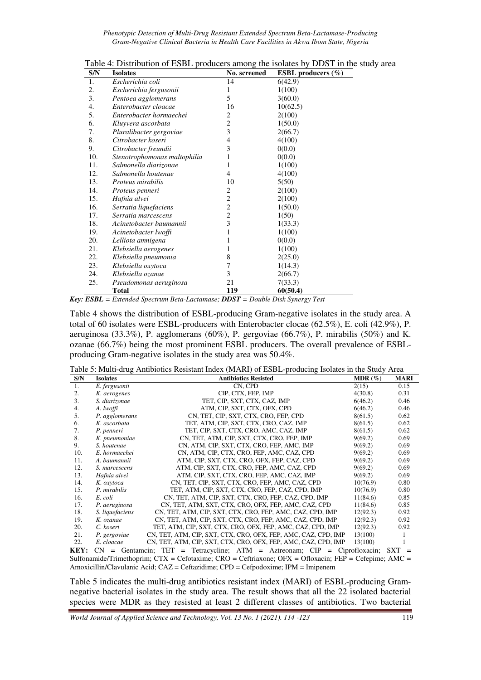*Phenotypic Detection of Multi-Drug Resistant Extended Spectrum Beta-Lactamase-Producing Gram-Negative Clinical Bacteria in Health Care Facilities in Akwa Ibom State, Nigeria* 

| S/N | <b>Isolates</b>              | No. screened   | <b>ESBL</b> producers $(\%)$ |
|-----|------------------------------|----------------|------------------------------|
| 1.  | Escherichia coli             | 14             | 6(42.9)                      |
| 2.  | Escherichia fergusonii       | 1              | 1(100)                       |
| 3.  | Pentoea agglomerans          | 5              | 3(60.0)                      |
| 4.  | Enterobacter cloacae         | 16             | 10(62.5)                     |
| 5.  | Enterobacter hormaechei      | 2              | 2(100)                       |
| 6.  | Kluyvera ascorbata           | $\overline{c}$ | 1(50.0)                      |
| 7.  | Pluralibacter gergoviae      | 3              | 2(66.7)                      |
| 8.  | Citrobacter koseri           | 4              | 4(100)                       |
| 9.  | Citrobacter freundii         | 3              | 0(0.0)                       |
| 10. | Stenotrophomonas maltophilia | 1              | 0(0.0)                       |
| 11. | Salmonella diarizonae        | 1              | 1(100)                       |
| 12. | Salmonella houtenae          | 4              | 4(100)                       |
| 13. | <i>Proteus mirabilis</i>     | 10             | 5(50)                        |
| 14. | Proteus penneri              | 2              | 2(100)                       |
| 15. | Hafnia alvei                 | $\overline{c}$ | 2(100)                       |
| 16. | Serratia liquefaciens        | 2              | 1(50.0)                      |
| 17. | Serratia marcescens          | 2              | 1(50)                        |
| 18. | Acinetobacter baumannii      | 3              | 1(33.3)                      |
| 19. | Acinetobacter lwoffi         | 1              | 1(100)                       |
| 20. | Lelliota amnigena            |                | 0(0.0)                       |
| 21. | Klebsiella aerogenes         | L              | 1(100)                       |
| 22. | Klebsiella pneumonia         | 8              | 2(25.0)                      |
| 23. | Klebsiella oxytoca           | 7              | 1(14.3)                      |
| 24. | Klebsiella ozanae            | 3              | 2(66.7)                      |
| 25. | Pseudomonas aeruginosa       | 21             | 7(33.3)                      |
|     | <b>Total</b>                 | 119            | 60(50.4)                     |

Table 4: Distribution of ESBL producers among the isolates by DDST in the study area

*Key: ESBL = Extended Spectrum Beta-Lactamase; DDST = Double Disk Synergy Test* 

Table 4 shows the distribution of ESBL-producing Gram-negative isolates in the study area. A total of 60 isolates were ESBL-producers with Enterobacter clocae (62.5%), E. coli (42.9%), P. aeruginosa (33.3%), P. agglomerans (60%), P. gergoviae (66.7%), P. mirabilis (50%) and K. ozanae (66.7%) being the most prominent ESBL producers. The overall prevalence of ESBLproducing Gram-negative isolates in the study area was 50.4%.

| Table 5: Multi-drug Antibiotics Resistant Index (MARI) of ESBL-producing Isolates in the Study Area |  |  |
|-----------------------------------------------------------------------------------------------------|--|--|
|-----------------------------------------------------------------------------------------------------|--|--|

| S/N           | <b>Isolates</b> | <b>Antibiotics Resisted</b>                                                                                                             | $MDR (\%)$ | <b>MARI</b>       |
|---------------|-----------------|-----------------------------------------------------------------------------------------------------------------------------------------|------------|-------------------|
| 1.            | E. fergusonii   | CN, CPD                                                                                                                                 | 2(15)      | 0.15              |
| 2.            | K. aerogenes    | CIP, CTX, FEP, IMP                                                                                                                      | 4(30.8)    | 0.31              |
| 3.            | S. diarizonae   | TET, CIP, SXT, CTX, CAZ, IMP                                                                                                            | 6(46.2)    | 0.46              |
| 4.            | A. lwoffi       | ATM, CIP, SXT, CTX, OFX, CPD                                                                                                            | 6(46.2)    | 0.46              |
| 5.            | P. agglomerans  | CN, TET, CIP, SXT, CTX, CRO, FEP, CPD                                                                                                   | 8(61.5)    | 0.62              |
| 6.            | K. ascorbata    | TET, ATM, CIP, SXT, CTX, CRO, CAZ, IMP                                                                                                  | 8(61.5)    | 0.62              |
| 7.            | P. penneri      | TET, CIP, SXT, CTX, CRO, AMC, CAZ, IMP                                                                                                  | 8(61.5)    | 0.62              |
| 8.            | K. pneumoniae   | CN, TET, ATM, CIP, SXT, CTX, CRO, FEP, IMP                                                                                              | 9(69.2)    | 0.69              |
| 9.            | S. houtenae     | CN, ATM, CIP, SXT, CTX, CRO, FEP, AMC, IMP                                                                                              | 9(69.2)    | 0.69              |
| 10.           | E. hormaechei   | CN, ATM, CIP, CTX, CRO, FEP, AMC, CAZ, CPD                                                                                              | 9(69.2)    | 0.69              |
| 11.           | A. baumannii    | ATM, CIP, SXT, CTX, CRO, OFX, FEP, CAZ, CPD                                                                                             | 9(69.2)    | 0.69              |
| 12.           | S. marcescens   | ATM, CIP, SXT, CTX, CRO, FEP, AMC, CAZ, CPD                                                                                             | 9(69.2)    | 0.69              |
| 13.           | Hafnia alvei    | ATM, CIP, SXT, CTX, CRO, FEP, AMC, CAZ, IMP                                                                                             | 9(69.2)    | 0.69              |
| 14.           | K. oxytoca      | CN, TET, CIP, SXT, CTX, CRO, FEP, AMC, CAZ, CPD                                                                                         | 10(76.9)   | 0.80              |
| 15.           | P. mirabilis    | TET, ATM, CIP, SXT, CTX, CRO, FEP, CAZ, CPD, IMP                                                                                        | 10(76.9)   | 0.80              |
| 16.           | E. coli         | CN, TET, ATM, CIP, SXT, CTX, CRO, FEP, CAZ, CPD, IMP                                                                                    | 11(84.6)   | 0.85              |
| 17.           | P. aeruginosa   | CN, TET, ATM, SXT, CTX, CRO, OFX, FEP, AMC, CAZ, CPD                                                                                    | 11(84.6)   | 0.85              |
| 18.           | S. liquefaciens | CN, TET, ATM, CIP, SXT, CTX, CRO, FEP, AMC, CAZ, CPD, IMP                                                                               | 12(92.3)   | 0.92              |
| 19.           | K. ozanae       | CN, TET, ATM, CIP, SXT, CTX, CRO, FEP, AMC, CAZ, CPD, IMP                                                                               | 12(92.3)   | 0.92              |
| 20.           | C. koseri       | TET, ATM, CIP, SXT, CTX, CRO, OFX, FEP, AMC, CAZ, CPD, IMP                                                                              | 12(92.3)   | 0.92              |
| 21.           | P. gergoviae    | CN, TET, ATM, CIP, SXT, CTX, CRO, OFX, FEP, AMC, CAZ, CPD, IMP                                                                          | 13(100)    |                   |
| 22.           | E. cloacae      | CN, TET, ATM, CIP, SXT, CTX, CRO, OFX, FEP, AMC, CAZ, CPD, IMP                                                                          | 13(100)    |                   |
| <b>IZINT.</b> | $\sim$          | mon<br>$\mathbf{T}$ , $\mathbf{I}$ , $\mathbf{A}$ , $\mathbf{T}$ , $\mathbf{A}$ , $\mathbf{A}$ , $\mathbf{A}$<br>$\alpha$ <sub>ID</sub> | $\sim$     | $\alpha \sqrt{m}$ |

**KEY:** CN = Gentamcin; TET = Tetracycline; ATM = Aztreonam; CIP = Ciprofloxacin; SXT = Sulfonamide/Trimethoprim; CTX = Cefotaxime; CRO = Ceftriaxone; OFX = Ofloxacin; FEP = Cefepime; AMC = Amoxicillin/Clavulanic Acid; CAZ = Ceftazidime; CPD = Cefpodoxime; IPM = Imipenem

Table 5 indicates the multi-drug antibiotics resistant index (MARI) of ESBL-producing Gramnegative bacterial isolates in the study area. The result shows that all the 22 isolated bacterial species were MDR as they resisted at least 2 different classes of antibiotics. Two bacterial

*World Journal of Applied Science and Technology, Vol. 13 No. 1 (2021). 114 -123* 119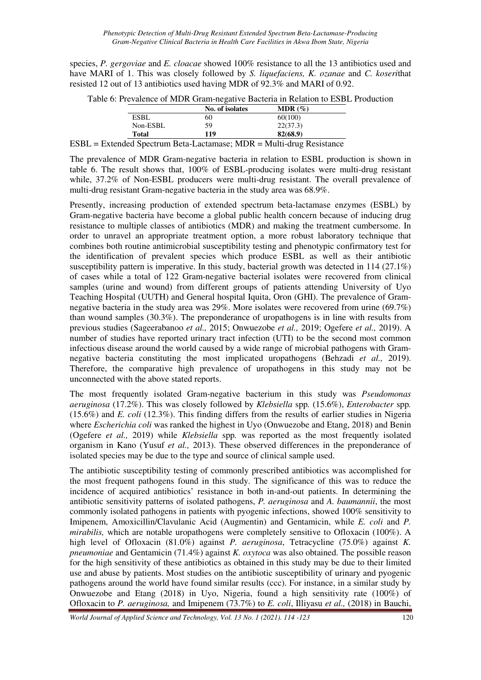species, *P. gergoviae* and *E. cloacae* showed 100% resistance to all the 13 antibiotics used and have MARI of 1. This was closely followed by *S. liquefaciens, K. ozanae* and *C. koseri*that resisted 12 out of 13 antibiotics used having MDR of 92.3% and MARI of 0.92.

| Table 6: Prevalence of MDR Gram-negative Bacteria in Relation to ESBL Production |  |  |  |  |  |  |  |
|----------------------------------------------------------------------------------|--|--|--|--|--|--|--|
|----------------------------------------------------------------------------------|--|--|--|--|--|--|--|

|                                                   | No. of isolates | $MDR (\%)$                       |
|---------------------------------------------------|-----------------|----------------------------------|
| <b>ESBL</b>                                       | 60              | 60(100)                          |
| Non-ESBL                                          | 59              | 22(37.3)                         |
| <b>Total</b>                                      | 119             | 82(68.9)                         |
| $1 \t1$ $\sim$<br>T T<br>the contract of the con- | $\cdots$        | $\mathbf{r}$ .<br><b>British</b> |

ESBL = Extended Spectrum Beta-Lactamase; MDR = Multi-drug Resistance

The prevalence of MDR Gram-negative bacteria in relation to ESBL production is shown in table 6. The result shows that, 100% of ESBL-producing isolates were multi-drug resistant while, 37.2% of Non-ESBL producers were multi-drug resistant. The overall prevalence of multi-drug resistant Gram-negative bacteria in the study area was 68.9%.

Presently, increasing production of extended spectrum beta-lactamase enzymes (ESBL) by Gram-negative bacteria have become a global public health concern because of inducing drug resistance to multiple classes of antibiotics (MDR) and making the treatment cumbersome. In order to unravel an appropriate treatment option, a more robust laboratory technique that combines both routine antimicrobial susceptibility testing and phenotypic confirmatory test for the identification of prevalent species which produce ESBL as well as their antibiotic susceptibility pattern is imperative. In this study, bacterial growth was detected in 114 (27.1%) of cases while a total of 122 Gram-negative bacterial isolates were recovered from clinical samples (urine and wound) from different groups of patients attending University of Uyo Teaching Hospital (UUTH) and General hospital Iquita, Oron (GHI). The prevalence of Gramnegative bacteria in the study area was 29%. More isolates were recovered from urine (69.7%) than wound samples (30.3%). The preponderance of uropathogens is in line with results from previous studies (Sageerabanoo *et al.,* 2015; Onwuezobe *et al.,* 2019; Ogefere *et al.,* 2019). A number of studies have reported urinary tract infection (UTI) to be the second most common infectious disease around the world caused by a wide range of microbial pathogens with Gramnegative bacteria constituting the most implicated uropathogens (Behzadi *et al.,* 2019). Therefore, the comparative high prevalence of uropathogens in this study may not be unconnected with the above stated reports.

The most frequently isolated Gram-negative bacterium in this study was *Pseudomonas aeruginosa* (17.2%). This was closely followed by *Klebsiella* spp*.* (15.6%), *Enterobacter* spp*.* (15.6%) and *E. coli* (12.3%). This finding differs from the results of earlier studies in Nigeria where *Escherichia coli* was ranked the highest in Uyo (Onwuezobe and Etang, 2018) and Benin (Ogefere *et al.,* 2019) while *Klebsiella* spp*.* was reported as the most frequently isolated organism in Kano (Yusuf *et al.,* 2013). These observed differences in the preponderance of isolated species may be due to the type and source of clinical sample used.

The antibiotic susceptibility testing of commonly prescribed antibiotics was accomplished for the most frequent pathogens found in this study. The significance of this was to reduce the incidence of acquired antibiotics' resistance in both in-and-out patients. In determining the antibiotic sensitivity patterns of isolated pathogens, *P. aeruginosa* and *A. baumannii*, the most commonly isolated pathogens in patients with pyogenic infections, showed 100% sensitivity to Imipenem, Amoxicillin/Clavulanic Acid (Augmentin) and Gentamicin, while *E. coli* and *P. mirabilis,* which are notable uropathogens were completely sensitive to Ofloxacin (100%). A high level of Ofloxacin (81.0%) against *P. aeruginosa*, Tetracycline (75.0%) against *K. pneumoniae* and Gentamicin (71.4%) against *K. oxytoca* was also obtained. The possible reason for the high sensitivity of these antibiotics as obtained in this study may be due to their limited use and abuse by patients. Most studies on the antibiotic susceptibility of urinary and pyogenic pathogens around the world have found similar results (ccc). For instance, in a similar study by Onwuezobe and Etang (2018) in Uyo, Nigeria, found a high sensitivity rate (100%) of Ofloxacin to *P. aeruginosa,* and Imipenem (73.7%) to *E. coli*, Illiyasu *et al.,* (2018) in Bauchi,

*World Journal of Applied Science and Technology, Vol. 13 No. 1 (2021). 114 -123* 120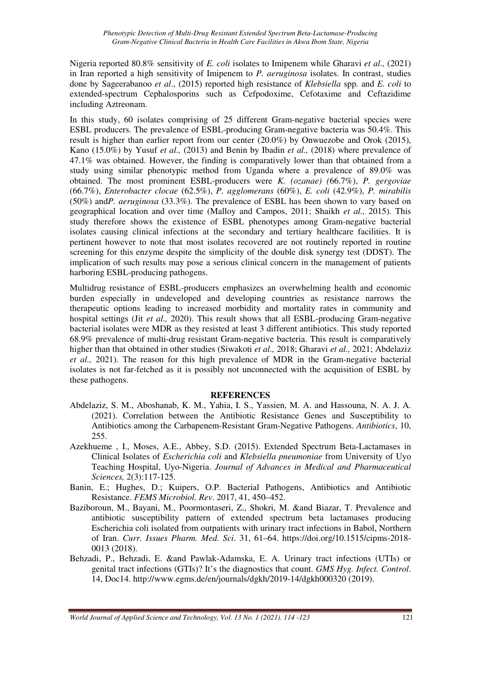Nigeria reported 80.8% sensitivity of *E. coli* isolates to Imipenem while Gharavi *et al.,* (2021) in Iran reported a high sensitivity of Imipenem to *P. aeruginosa* isolates. In contrast, studies done by Sageerabanoo *et al*., (2015) reported high resistance of *Klebsiella* spp*.* and *E. coli* to extended-spectrum Cephalosporins such as Cefpodoxime, Cefotaxime and Ceftazidime including Aztreonam.

In this study, 60 isolates comprising of 25 different Gram-negative bacterial species were ESBL producers. The prevalence of ESBL-producing Gram-negative bacteria was 50.4%. This result is higher than earlier report from our center (20.0%) by Onwuezobe and Orok (2015), Kano (15.0%) by Yusuf *et al.,* (2013) and Benin by Ibadin *et al.,* (2018) where prevalence of 47.1% was obtained. However, the finding is comparatively lower than that obtained from a study using similar phenotypic method from Uganda where a prevalence of 89.0% was obtained. The most prominent ESBL-producers were *K. (ozanae) (*66.7%), *P. gergoviae* (66.7%), *Enterobacter clocae* (62.5%), *P. agglomerans* (60%), *E. coli* (42.9%), *P. mirabilis* (50%) and*P. aeruginosa* (33.3%). The prevalence of ESBL has been shown to vary based on geographical location and over time (Malloy and Campos, 2011; Shaikh *et al.,* 2015). This study therefore shows the existence of ESBL phenotypes among Gram-negative bacterial isolates causing clinical infections at the secondary and tertiary healthcare facilities. It is pertinent however to note that most isolates recovered are not routinely reported in routine screening for this enzyme despite the simplicity of the double disk synergy test (DDST). The implication of such results may pose a serious clinical concern in the management of patients harboring ESBL-producing pathogens.

Multidrug resistance of ESBL-producers emphasizes an overwhelming health and economic burden especially in undeveloped and developing countries as resistance narrows the therapeutic options leading to increased morbidity and mortality rates in community and hospital settings (Jit *et al.,* 2020). This result shows that all ESBL-producing Gram-negative bacterial isolates were MDR as they resisted at least 3 different antibiotics. This study reported 68.9% prevalence of multi-drug resistant Gram-negative bacteria. This result is comparatively higher than that obtained in other studies (Siwakoti *et al.,* 2018; Gharavi *et al.,* 2021; Abdelaziz *et al.,* 2021). The reason for this high prevalence of MDR in the Gram-negative bacterial isolates is not far-fetched as it is possibly not unconnected with the acquisition of ESBL by these pathogens.

### **REFERENCES**

- Abdelaziz, S. M., Aboshanab, K. M., Yahia, I. S., Yassien, M. A. and Hassouna, N. A. J. A. (2021). Correlation between the Antibiotic Resistance Genes and Susceptibility to Antibiotics among the Carbapenem-Resistant Gram-Negative Pathogens. *Antibiotics*, 10, 255.
- Azekhueme , I., Moses, A.E., Abbey, S.D. (2015). Extended Spectrum Beta-Lactamases in Clinical Isolates of *Escherichia coli* and *Klebsiella pneumoniae* from University of Uyo Teaching Hospital, Uyo-Nigeria. *Journal of Advances in Medical and Pharmaceutical Sciences,* 2(3):117-125.
- Banin, E.; Hughes, D.; Kuipers, O.P. Bacterial Pathogens, Antibiotics and Antibiotic Resistance. *FEMS Microbiol. Rev*. 2017, 41, 450–452.
- Baziboroun, M., Bayani, M., Poormontaseri, Z., Shokri, M. &and Biazar, T. Prevalence and antibiotic susceptibility pattern of extended spectrum beta lactamases producing Escherichia coli isolated from outpatients with urinary tract infections in Babol, Northern of Iran. *Curr. Issues Pharm. Med. Sci*. 31, 61–64. https://doi.org/10.1515/cipms-2018- 0013 (2018).
- Behzadi, P., Behzadi, E. &and Pawlak-Adamska, E. A. Urinary tract infections (UTIs) or genital tract infections (GTIs)? It's the diagnostics that count. *GMS Hyg. Infect. Control*. 14, Doc14. http://www.egms.de/en/journals/dgkh/2019-14/dgkh000320 (2019).

*World Journal of Applied Science and Technology, Vol. 13 No. 1 (2021). 114 -123* 121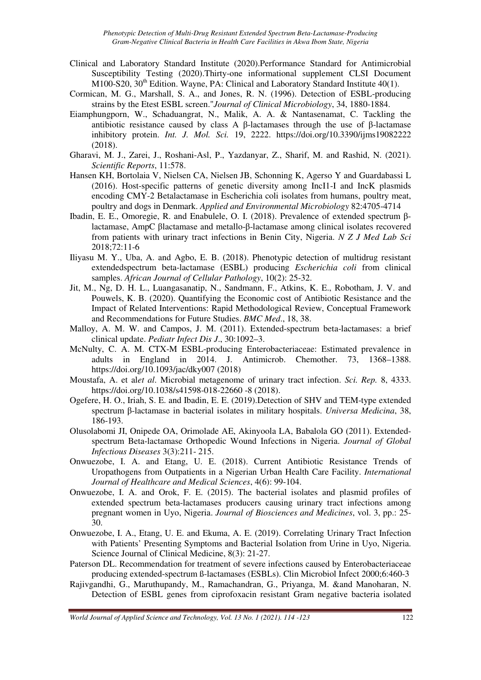- Clinical and Laboratory Standard Institute (2020).Performance Standard for Antimicrobial Susceptibility Testing (2020).Thirty-one informational supplement CLSI Document M100-S20,  $30<sup>th</sup>$  Edition. Wayne, PA: Clinical and Laboratory Standard Institute 40(1).
- Cormican, M. G., Marshall, S. A., and Jones, R. N. (1996). Detection of ESBL-producing strains by the Etest ESBL screen."*Journal of Clinical Microbiology*, 34, 1880-1884.
- Eiamphungporn, W., Schaduangrat, N., Malik, A. A. & Nantasenamat, C. Tackling the antibiotic resistance caused by class A β-lactamases through the use of β-lactamase inhibitory protein. *Int. J. Mol. Sci.* 19, 2222. https://doi.org/10.3390/ijms19082222 (2018).
- Gharavi, M. J., Zarei, J., Roshani-Asl, P., Yazdanyar, Z., Sharif, M. and Rashid, N. (2021). *Scientific Reports*, 11:578.
- Hansen KH, Bortolaia V, Nielsen CA, Nielsen JB, Schonning K, Agerso Y and Guardabassi L (2016). Host-specific patterns of genetic diversity among IncI1-I and IncK plasmids encoding CMY-2 Betalactamase in Escherichia coli isolates from humans, poultry meat, poultry and dogs in Denmark. *Applied and Environmental Microbiology* 82:4705-4714
- Ibadin, E. E., Omoregie, R. and Enabulele, O. I. (2018). Prevalence of extended spectrum βlactamase, AmpC βlactamase and metallo-β-lactamase among clinical isolates recovered from patients with urinary tract infections in Benin City, Nigeria. *N Z J Med Lab Sci* 2018;72:11-6
- Iliyasu M. Y., Uba, A. and Agbo, E. B. (2018). Phenotypic detection of multidrug resistant extendedspectrum beta-lactamase (ESBL) producing *Escherichia coli* from clinical samples. *African Journal of Cellular Pathology*, 10(2): 25-32.
- Jit, M., Ng, D. H. L., Luangasanatip, N., Sandmann, F., Atkins, K. E., Robotham, J. V. and Pouwels, K. B. (2020). Quantifying the Economic cost of Antibiotic Resistance and the Impact of Related Interventions: Rapid Methodological Review, Conceptual Framework and Recommendations for Future Studies. *BMC Med*., 18, 38.
- Malloy, A. M. W. and Campos, J. M. (2011). Extended-spectrum beta-lactamases: a brief clinical update. *Pediatr Infect Dis J*., 30:1092–3.
- McNulty, C. A. M. CTX-M ESBL-producing Enterobacteriaceae: Estimated prevalence in adults in England in 2014. J. Antimicrob. Chemother. 73, 1368–1388. https://doi.org/10.1093/jac/dky007 (2018)
- Moustafa, A. et al*et al*. Microbial metagenome of urinary tract infection. *Sci. Rep.* 8, 4333. https://doi.org/10.1038/s41598-018-22660 -8 (2018).
- Ogefere, H. O., Iriah, S. E. and Ibadin, E. E. (2019).Detection of SHV and TEM-type extended spectrum β-lactamase in bacterial isolates in military hospitals. *Universa Medicina*, 38, 186-193.
- Olusolabomi JI, Onipede OA, Orimolade AE, Akinyoola LA, Babalola GO (2011). Extendedspectrum Beta-lactamase Orthopedic Wound Infections in Nigeria. *Journal of Global Infectious Diseases* 3(3):211- 215.
- Onwuezobe, I. A. and Etang, U. E. (2018). Current Antibiotic Resistance Trends of Uropathogens from Outpatients in a Nigerian Urban Health Care Facility. *International Journal of Healthcare and Medical Sciences*, 4(6): 99-104.
- Onwuezobe, I. A. and Orok, F. E. (2015). The bacterial isolates and plasmid profiles of extended spectrum beta-lactamases producers causing urinary tract infections among pregnant women in Uyo, Nigeria. *Journal of Biosciences and Medicines*, vol. 3, pp.: 25- 30.
- Onwuezobe, I. A., Etang, U. E. and Ekuma, A. E. (2019). Correlating Urinary Tract Infection with Patients' Presenting Symptoms and Bacterial Isolation from Urine in Uyo, Nigeria. Science Journal of Clinical Medicine, 8(3): 21-27.
- Paterson DL. Recommendation for treatment of severe infections caused by Enterobacteriaceae producing extended-spectrum ß-lactamases (ESBLs). Clin Microbiol Infect 2000;6:460-3
- Rajivgandhi, G., Maruthupandy, M., Ramachandran, G., Priyanga, M. &and Manoharan, N. Detection of ESBL genes from ciprofoxacin resistant Gram negative bacteria isolated